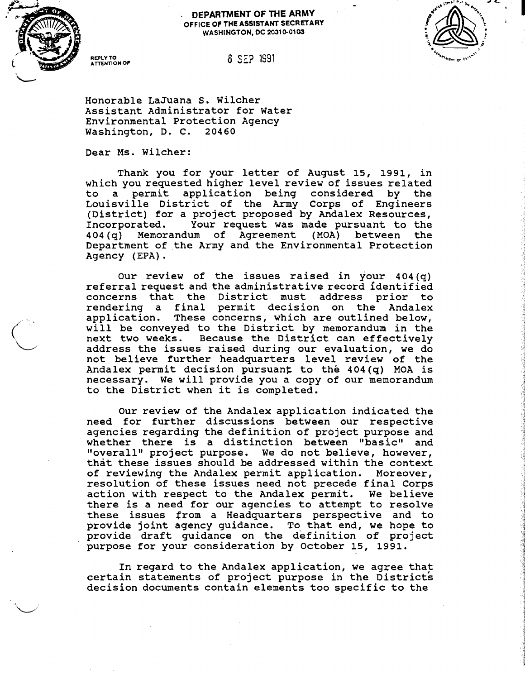

## . **DEPARTMENT OF THE ARMY OFFICE OF THE ASSISTANT SECRETARY WASHINGTON, DC 2031&0103**

.



## **MTt3~loN OF 6** *SE?* 1991

**Honorable LaJuana S. Wilcher Assistant Administrator for Water Environmental Protection Agency Washington, D. C. 20460** 

**Dear Ms. Wilcher:** 

**Thank you for your letter of August 15, 1991, in which you requested higher level review of issues related to a permit application being considered by the Louisville District of the Army Corps of Engineers (District) for a project proposed by Andalex Resources, Incorporated. Your request was made pursuant to the 404 (q) Memorandum of Agreement (MOA) between the Department of the Army and the Environmental Protection Agency (EPA)** .

**Our review of the issues raised in your 404(q) referral request and the administrative record identified concerns that the District must address prior to rendering a final permit decision on the Andalex application. These concerns, which are outlined below, will be conveyed to the District by memorandum in the next two weeks. Because the District can effectively address the issues raised during our evaluation, we do not believe further headquarters level review of the Andalex permit decision pursuang to the 404(q) MOA is necessary. We will provide you a copy of our memorandum to the District when it is completed.** 

**Our review of the Andalex application indicated the need for further discussions between our respective agencies regarding the definition of project purpose and**  whether there is a distinction between "basic" and "overall" project purpose. We do not believe, however, **that these issues should be addressed within the context of reviewing the Andalex permit application. Moreover, resolution of these issues need not precede final Corps action with respect to the Andalex permit. We believe there is a need for our agencies to attempt to resolve these issues from a Headquarters perspective and to provide joint agency guidance. To that end, we hope to provide draft guidance on the definition of project purpose for your consideration by October 15, 1991.** 

In regard to the Andalex application, we agree that **certain statements of project purpose in the Districts decision documents contain elements too specific to the**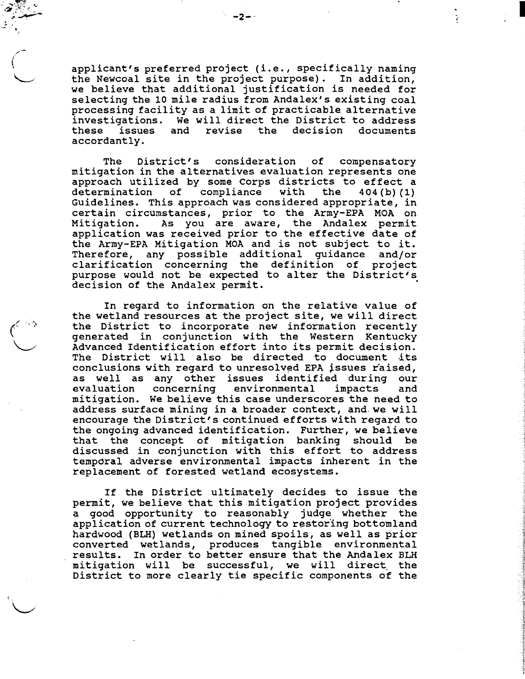**applicant's preferred project (i.e., specifically naming the Newcoal site in the project purpose). In addition, we believe that additional justification is needed for selecting the 10 mile radius from Andalex's existing coal processing facility as a limit of practicable alternative investigations. We will direct the District to address these issues and revise the decision documents accordantly.** 

 $-2-$ 

**The District's consideration of compensatory mitigation in the alternatives evaluation represents one approach utilized by some Corps districts to effect a determination of compliance with the 404 (b) (1) Guidelines. This approach was considered appropriate, in certain circumstances, prior to the Army-EPA MOA on Mitigation. As you are aware, the Andalex permit application was received prior to the effective date of the Army-EPA Mitigation MOA and is not subject to it. Therefore, any possible additional guidance and/or clarification concerning the definition of project purpose would not be expected to alter the District's decision of the Andalex permit.** 

**In regard to information on the relative value of the wetland resources at the project site, we will direct the District to incorporate new information recently generated in conjunction with the Western Kentucky Advanced Identification effort into its permit decision.**  The District will also be directed to document its conclusions with regard to unresolved EPA issues raised, **as well as any other issues identified during our**  concerning environmental impacts and **mitigation. We believe this case underscores the need to address surface mining in a broader context, and. we will encourage the District's continued efforts with regard to the ongoing advanced identification. Further, we believe that the concept of mitigation banking should be discussed in conjunction with this effort to address tempdral adverse environmental impacts inherent in the replacement of forested wetland ecosystems.** 

**If the District ultimately decides to issue the permit, we believe that this mitigation project provides a good opportunity to reasonably judge whether the application of current technology to restor'ing bottomland hardwood (BLH) wetlands on mined spoils, as well as prior converted wetlands, produces tangible environmental results. In order to better ensure that the Andalex BLH mitigation will be successful, we will direct. the District to more clearly tie specific components of the**